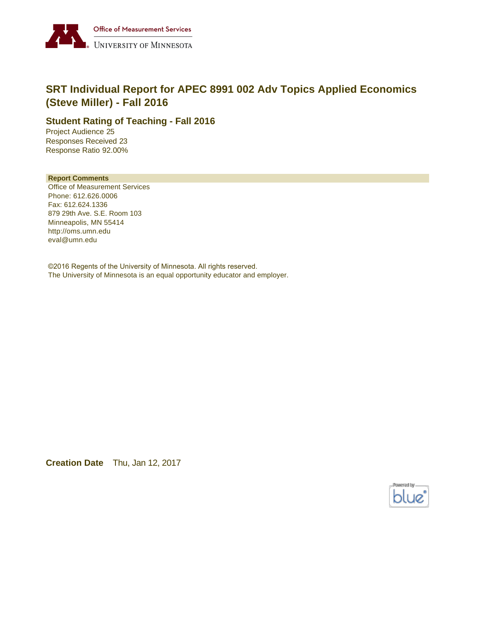

# **SRT Individual Report for APEC 8991 002 Adv Topics Applied Economics (Steve Miller) - Fall 2016**

#### **Student Rating of Teaching - Fall 2016**

Project Audience 25 Responses Received 23 Response Ratio 92.00%

#### **Report Comments**

Office of Measurement Services Phone: 612.626.0006 Fax: 612.624.1336 879 29th Ave. S.E. Room 103 Minneapolis, MN 55414 http://oms.umn.edu eval@umn.edu

©2016 Regents of the University of Minnesota. All rights reserved. The University of Minnesota is an equal opportunity educator and employer.

**Creation Date** Thu, Jan 12, 2017

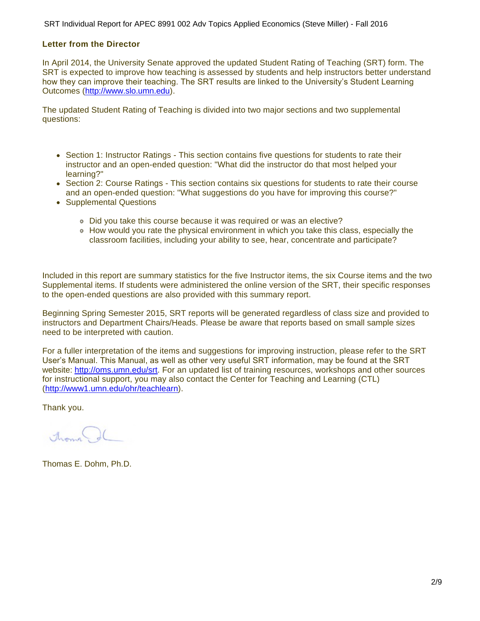SRT Individual Report for APEC 8991 002 Adv Topics Applied Economics (Steve Miller) - Fall 2016

#### **Letter from the Director**

In April 2014, the University Senate approved the updated Student Rating of Teaching (SRT) form. The SRT is expected to improve how teaching is assessed by students and help instructors better understand how they can improve their teaching. The SRT results are linked to the University's Student Learning Outcomes ([http://www.slo.umn.edu\)](http://www.slo.umn.edu).

The updated Student Rating of Teaching is divided into two major sections and two supplemental questions:

- Section 1: Instructor Ratings This section contains five questions for students to rate their instructor and an open-ended question: "What did the instructor do that most helped your learning?"
- Section 2: Course Ratings This section contains six questions for students to rate their course and an open-ended question: "What suggestions do you have for improving this course?"
- Supplemental Questions
	- Did you take this course because it was required or was an elective?
	- How would you rate the physical environment in which you take this class, especially the classroom facilities, including your ability to see, hear, concentrate and participate?

Included in this report are summary statistics for the five Instructor items, the six Course items and the two Supplemental items. If students were administered the online version of the SRT, their specific responses to the open-ended questions are also provided with this summary report.

Beginning Spring Semester 2015, SRT reports will be generated regardless of class size and provided to instructors and Department Chairs/Heads. Please be aware that reports based on small sample sizes need to be interpreted with caution.

For a fuller interpretation of the items and suggestions for improving instruction, please refer to the SRT User's Manual. This Manual, as well as other very useful SRT information, may be found at the SRT website:<http://oms.umn.edu/srt>. For an updated list of training resources, workshops and other sources for instructional support, you may also contact the Center for Teaching and Learning (CTL) (<http://www1.umn.edu/ohr/teachlearn>).

Thank you.

Around.

Thomas E. Dohm, Ph.D.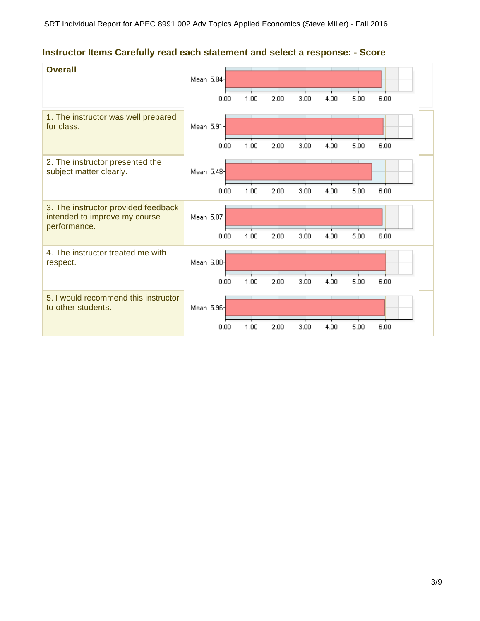## **Instructor Items Carefully read each statement and select a response: - Score**

| <b>Overall</b>                                                                       | Mean 5.84- | 0.00 | 1.00 | 2.00 | 3.00 | 4.00 | 5.00 | 6.00 |  |
|--------------------------------------------------------------------------------------|------------|------|------|------|------|------|------|------|--|
| 1. The instructor was well prepared<br>for class.                                    | Mean 5.91- |      |      |      |      |      |      |      |  |
|                                                                                      |            | 0.00 | 1.00 | 2.00 | 3.00 | 4.00 | 5.00 | 6.00 |  |
| 2. The instructor presented the<br>subject matter clearly.                           | Mean 5.48  |      |      |      |      |      |      |      |  |
|                                                                                      |            | 0.00 | 1.00 | 2.00 | 3.00 | 4.00 | 5.00 | 6.00 |  |
| 3. The instructor provided feedback<br>intended to improve my course<br>performance. | Mean 5.87- |      |      |      |      |      |      |      |  |
|                                                                                      |            | 0.00 | 1.00 | 2.00 | 3.00 | 4.00 | 5.00 | 6.00 |  |
| 4. The instructor treated me with<br>respect.                                        | Mean 6.00  |      |      |      |      |      |      |      |  |
|                                                                                      |            | 0.00 | 1.00 | 2.00 | 3.00 | 4.00 | 5.00 | 6.00 |  |
| 5. I would recommend this instructor<br>to other students.                           | Mean 5.96- |      |      |      |      |      |      |      |  |
|                                                                                      |            | 0.00 | 1.00 | 2.00 | 3.00 | 4.00 | 5.00 | 6.00 |  |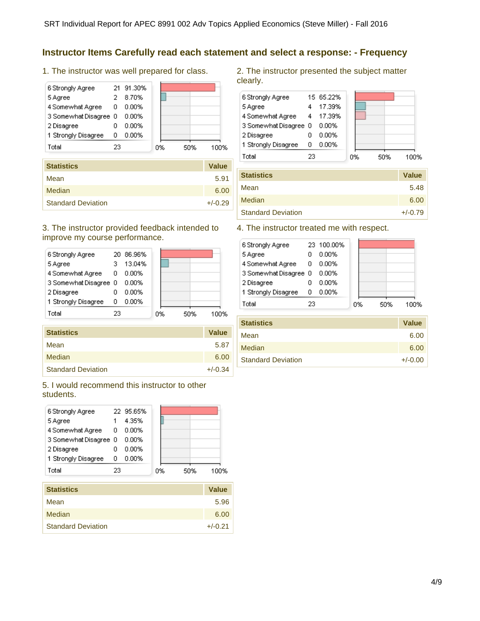### **Instructor Items Carefully read each statement and select a response: - Frequency**

1. The instructor was well prepared for class.

| 6 Strongly Agree      |    | 21 91.30% |    |     |      |
|-----------------------|----|-----------|----|-----|------|
| 5 Agree               |    | 8.70%     |    |     |      |
| 4 Somewhat Agree      | 0  | 0.00%     |    |     |      |
| 3 Somewhat Disagree 0 |    | 0.00%     |    |     |      |
| 2 Disagree            |    | 0.00%     |    |     |      |
| 1 Strongly Disagree   | ο  | 0.00%     |    |     |      |
| Total                 | 23 |           | 0% | 50% | 100% |
|                       |    |           |    |     |      |

| <b>Statistics</b>         | <b>Value</b> |
|---------------------------|--------------|
| Mean                      | 5.91         |
| Median                    | 6.00         |
| <b>Standard Deviation</b> | $+/-0.29$    |

#### 3. The instructor provided feedback intended to improve my course performance.

|    | 13.04%                |           |     |      |
|----|-----------------------|-----------|-----|------|
| 0  | 0.00%                 |           |     |      |
|    | 0.00%                 |           |     |      |
|    | 0.00%                 |           |     |      |
| ο  | $0.00\%$              |           |     |      |
| 23 |                       |           | 50% | 100% |
|    | 3 Somewhat Disagree 0 | 20 86.96% | 0%  |      |

| <b>Statistics</b>         | <b>Value</b> |
|---------------------------|--------------|
|                           |              |
| Mean                      | 5.87         |
| <b>Median</b>             | 6.00         |
| <b>Standard Deviation</b> | $+/-0.34$    |

5. I would recommend this instructor to other students.

| 6 Strongly Agree      |    | 22 95.65% |    |     |      |
|-----------------------|----|-----------|----|-----|------|
| 5 Agree               |    | 4.35%     |    |     |      |
| 4 Somewhat Agree      | 0  | 0.00%     |    |     |      |
| 3 Somewhat Disagree 0 |    | 0.00%     |    |     |      |
| 2 Disagree            |    | 0.00%     |    |     |      |
| 1 Strongly Disagree   | п  | $0.00\%$  |    |     |      |
| Total                 | 23 |           | 0% | 50% | 100% |

| <b>Statistics</b>         | <b>Value</b> |
|---------------------------|--------------|
| Mean                      | 5.96         |
| Median                    | 6.00         |
| <b>Standard Deviation</b> | $+/-0.21$    |

2. The instructor presented the subject matter clearly.

| 6 Strongly Agree      |    | 15 65.22% |    |     |      |
|-----------------------|----|-----------|----|-----|------|
| 5 Agree               |    | 17.39%    |    |     |      |
| 4 Somewhat Agree      | 4  | - 17.39%  |    |     |      |
| 3 Somewhat Disagree 0 |    | $0.00\%$  |    |     |      |
| 2 Disagree            |    | 0.00%     |    |     |      |
| 1 Strongly Disagree   | n  | 0.00%     |    |     |      |
| Total                 | 23 |           | 0% | 50% | 100% |

| <b>Statistics</b>         | <b>Value</b> |
|---------------------------|--------------|
| Mean                      | 5.48         |
| <b>Median</b>             | 6.00         |
| <b>Standard Deviation</b> | $+/-0.79$    |

#### 4. The instructor treated me with respect.

| 6 Strongly Agree    |    |                       |            |     |      |
|---------------------|----|-----------------------|------------|-----|------|
| 5 Agree             |    | $0.00\%$              |            |     |      |
| 4 Somewhat Agree    | 0  | $0.00\%$              |            |     |      |
|                     |    | $0.00\%$              |            |     |      |
| 2 Disagree          |    | 0.00%                 |            |     |      |
| 1 Strongly Disagree | Ω  | 0.00%                 |            |     |      |
| Total               | 23 |                       |            | 50% | 100% |
|                     |    | 3 Somewhat Disagree 0 | 23 100.00% | 0%  |      |

| <b>Statistics</b>         | <b>Value</b> |
|---------------------------|--------------|
| Mean                      | 6.00         |
| Median                    | 6.00         |
| <b>Standard Deviation</b> | $+/-0.00$    |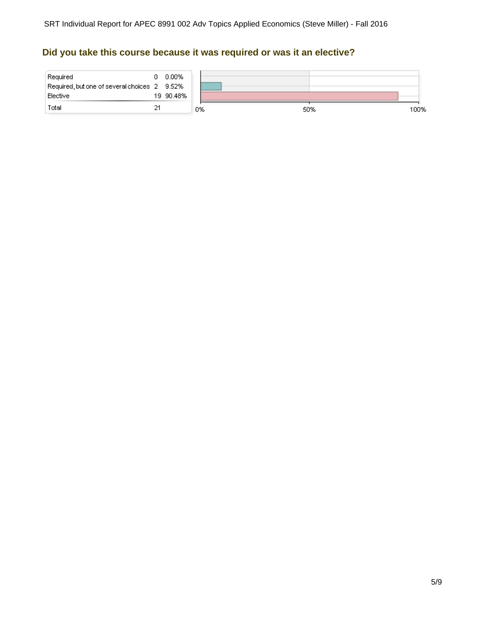## **Did you take this course because it was required or was it an elective?**

| Required<br>Required, but one of several choices 2 9.52%<br>Elective | Ω. | 0.00%<br>19 90.48% |    |     |      |
|----------------------------------------------------------------------|----|--------------------|----|-----|------|
| Total                                                                |    |                    | 0% | 50% | 100% |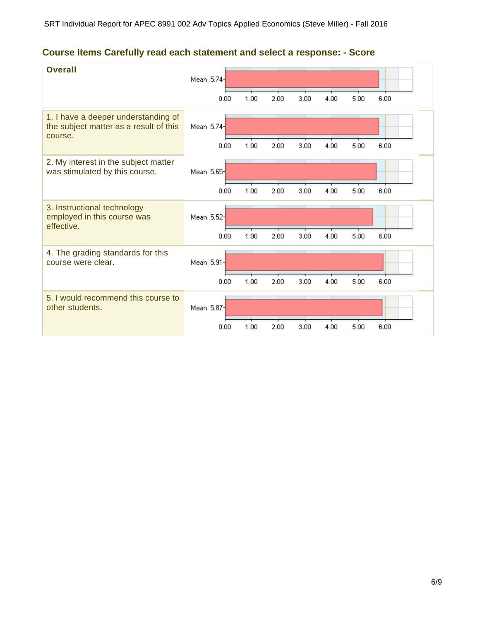## **Course Items Carefully read each statement and select a response: - Score**

| <b>Overall</b>                                                                           | Mean 5.74  | 0.00 | 1.00 | 2.00 | 3.00 | 4.00 | 5.00 | 6.00 |
|------------------------------------------------------------------------------------------|------------|------|------|------|------|------|------|------|
| 1. I have a deeper understanding of<br>the subject matter as a result of this<br>course. | Mean 5.74- |      |      |      |      |      |      |      |
|                                                                                          |            | 0.00 | 1.00 | 2.00 | 3.00 | 4.00 | 5.00 | 6.00 |
| 2. My interest in the subject matter<br>was stimulated by this course.                   | Mean 5.65  |      |      |      |      |      |      |      |
|                                                                                          |            | 0.00 | 1.00 | 2.00 | 3.00 | 4.00 | 5.00 | 6.00 |
| 3. Instructional technology<br>employed in this course was<br>effective.                 | Mean 5.52  |      |      |      |      |      |      |      |
|                                                                                          |            | 0.00 | 1.00 | 2.00 | 3.00 | 4.00 | 5.00 | 6.00 |
| 4. The grading standards for this<br>course were clear.                                  | Mean 5.91- |      |      |      |      |      |      |      |
|                                                                                          |            | 0.00 | 1.00 | 2.00 | 3.00 | 4.00 | 5.00 | 6.00 |
| 5. I would recommend this course to<br>other students.                                   | Mean 5.87  |      |      |      |      |      |      |      |
|                                                                                          |            | 0.00 | 1.00 | 2.00 | 3.00 | 4.00 | 5.00 | 6.00 |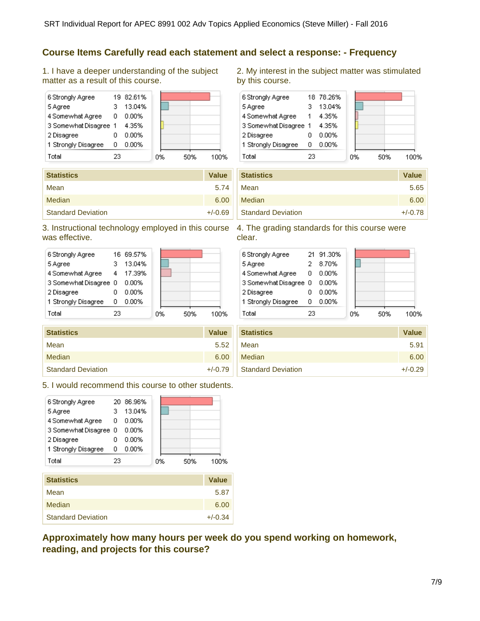### **Course Items Carefully read each statement and select a response: - Frequency**

1. I have a deeper understanding of the subject matter as a result of this course.



| <b>Statistics</b>         | <b>Value</b> |
|---------------------------|--------------|
| Mean                      | 5.74         |
| <b>Median</b>             | 6.00         |
| <b>Standard Deviation</b> | $+/-0.69$    |

### 3. Instructional technology employed in this course 4. The grading standards for this course were was effective.

| 6 Strongly Agree      |    | 16 69.57% |    |     |     |
|-----------------------|----|-----------|----|-----|-----|
| 5 Agree               |    | 13.04%    |    |     |     |
| 4 Somewhat Agree      | 4  | 17.39%    |    |     |     |
| 3 Somewhat Disagree 0 |    | 0.00%     |    |     |     |
| 2 Disagree            |    | $0.00\%$  |    |     |     |
| 1 Strongly Disagree   | О  | $0.00\%$  |    |     |     |
| Total                 | 23 |           | 0% | 50% | 00% |

| <b>Statistics</b>         | <b>Value</b> |
|---------------------------|--------------|
| Mean                      | 5.52         |
| Median                    | 6.00         |
| <b>Standard Deviation</b> | $+/-0.79$    |

5. I would recommend this course to other students.



| olalistics                | value     |
|---------------------------|-----------|
| Mean                      | 5.87      |
| Median                    | 6.00      |
| <b>Standard Deviation</b> | $+/-0.34$ |

**Approximately how many hours per week do you spend working on homework, reading, and projects for this course?**

2. My interest in the subject matter was stimulated by this course.



| <b>Statistics</b>         | <b>Value</b> |
|---------------------------|--------------|
|                           |              |
| Mean                      | 5.65         |
| Median                    | 6.00         |
| <b>Standard Deviation</b> | $+/-0.78$    |

clear.

| 6 Strongly Agree      |    | 21 91.30% |    |     |      |
|-----------------------|----|-----------|----|-----|------|
| 5 Agree               |    | 8.70%     |    |     |      |
| 4 Somewhat Agree      | 0  | 0.00%     |    |     |      |
| 3 Somewhat Disagree 0 |    | 0.00%     |    |     |      |
| 2 Disagree            |    | 0.00%     |    |     |      |
| 1 Strongly Disagree   | n  | 0.00%     |    |     |      |
| Total                 | 23 |           | 0% | 50% | 1በበ% |
|                       |    |           |    |     |      |

| <b>Statistics</b>         | <b>Value</b> |
|---------------------------|--------------|
| Mean                      | 5.91         |
| Median                    | 6.00         |
| <b>Standard Deviation</b> | $+/-0.29$    |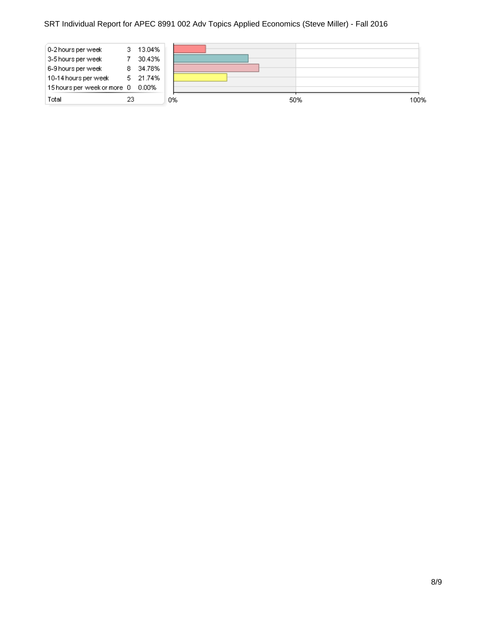### SRT Individual Report for APEC 8991 002 Adv Topics Applied Economics (Steve Miller) - Fall 2016